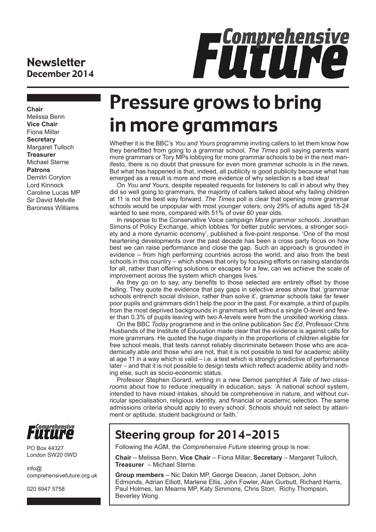#### **Newsletter** December 2014



**Chair** Melissa Benn **Vice Chair** Fiona Millar **Secretary** Margaret Tulloch **Treasurer** Michael Sterne **Patrons** Demitri Coryton Lord Kinnock Caroline Lucas MP Sir David Melville Baroness Williams



PO Box 44327 London SW20 0WD

 $info@$ comprehensivefuture.org.uk

020 8947 5758

# Pressure grows to bring in more grammars

Whether it is the BBC's *You and Yours* programme inviting callers to let them know how they benefitted from going to a grammar school, *The Times* poll saying parents want more grammars or Tory MPs lobbying for more grammar schools to be in the next manifesto, there is no doubt that pressure for even more grammar schools is in the news**.**  But what has happened is that, indeed, all publicity is good publicity because what has emerged as a result is more and more evidence of why selection is a bad idea!

On *You and Yours*, despite repeated requests for listeners to call in about why they did so well going to grammars, the majority of callers talked about why failing children at 11 is not the best way forward. *The Times* poll is clear that opening more grammar schools would be unpopular with most younger voters; only 29% of adults aged 18-24 wanted to see more, compared with 51% of over 60 year olds.

In response to the Conservative Voice campaign *More grammar schools*, Jonathan Simons of Policy Exchange, which lobbies 'for better public services, a stronger society and a more dynamic economy', published a five-point response. 'One of the most heartening developments over the past decade has been a cross party focus on how best we can raise performance and close the gap. Such an approach is grounded in evidence – from high performing countries across the world, and also from the best schools in this country – which shows that only by focusing efforts on raising standards for all, rather than offering solutions or escapes for a few, can we achieve the scale of improvement across the system which changes lives.'

As they go on to say, any benefits to those selected are entirely offset by those failing. They quote the evidence that pay gaps in selective areas show that 'grammar schools entrench social division, rather than solve it', grammar schools take far fewer poor pupils and grammars didn't help the poor in the past. For example, a third of pupils from the most deprived backgrounds in grammars left without a single O-level and fewer than 0.3% of pupils leaving with two A-levels were from the unskilled working class.

On the BBC *Today* programme and in the online publication *Sec Ed*, Professor Chris Husbands of the Institute of Education made clear that the evidence is against calls for more grammars. He quoted the huge disparity in the proportions of children eligible for free school meals, that tests cannot reliably discriminate between those who are academically able and those who are not, that it is not possible to test for academic ability at age 11 in a way which is valid – i.e. a test which is strongly predictive of performance later – and that it is not possible to design tests which reflect academic ability and nothing else, such as socio-economic status.

Professor Stephen Gorard, writing in a new Demos pamphlet *A Tale of two classrooms* about how to reduce inequality in education, says: 'A national school system, intended to have mixed intakes, should be comprehensive in nature, and without curricular specialisation, religious identity, and financial or academic selection. The same admissions criteria should apply to every school. Schools should not select by attainment or aptitude, student background or faith.'

### Steering group for 2014-2015

Following the AGM, the *Comprehensive Future* steering group is now:

**Chair** – Melissa Benn, **Vice Chair** – Fiona Millar, **Secretary** – Margaret Tulloch, **Treasurer** – Michael Sterne.

**Group members** – Nic Dakin MP, George Deacon, Janet Dobson, John Edmonds, Adrian Elliott, Marlene Ellis, John Fowler, Alan Gurbutt, Richard Harris, Paul Holmes, Ian Mearns MP, Katy Simmons, Chris Storr, Richy Thompson, Beverley Wong.